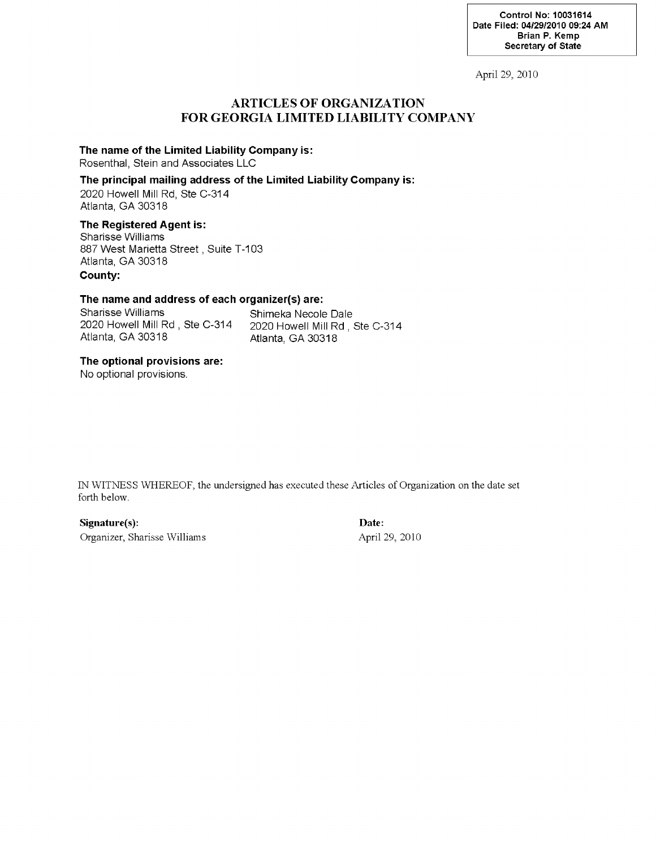April 29, 2010

### **ARTICLES OF ORGANIZATION FOR GEORGIA LIMITED LIABILITY COMPANY**

### **The name of the Limited Liability Company is:**

Rosenthal, Stein and Associates LLC

### **The principal mailing address of the Limited Liability Company is:**

2020 Howell Mill Rd, Ste C-314 Atlanta, GA 30318

### **The Registered Agent is:**

Sharisse VVilliams 887 VVest Marietta Street, Suite T-103 Atlanta, GA 30318 **County:**

#### **The name and address of each organizer(s) are:**

Sharisse Williams<br>2020 Howell Mill Rd, Ste C-314 2020 Howell Mill Rd, 3 2020 Howell Mill Rd, Ste C-314 2020 Howell Mill Rd, Ste C-314

Atlanta, GA 30318

### **The optional provisions are:**

No optional provisions.

IN WITNESS WHEREOF, the undersigned has executed these Articles of Organization on the date set forth below.

**Signature(s): Date:** Organizer, Sharisse Williams April 29, 2010